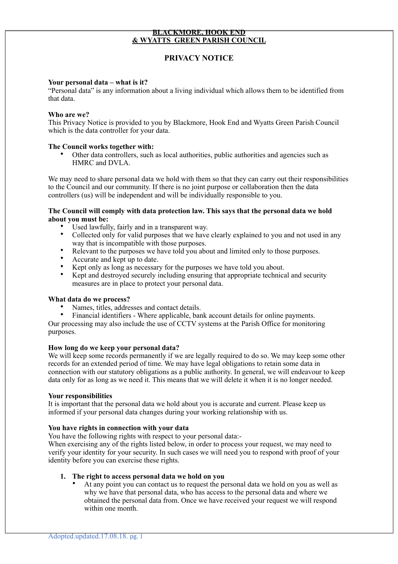# **BLACKMORE, HOOK END & WYATTS GREEN PARISH COUNCIL**

# **PRIVACY NOTICE**

### **Your personal data – what is it?**

"Personal data" is any information about a living individual which allows them to be identified from that data.

#### **Who are we?**

This Privacy Notice is provided to you by Blackmore, Hook End and Wyatts Green Parish Council which is the data controller for your data.

### **The Council works together with:**

• Other data controllers, such as local authorities, public authorities and agencies such as HMRC and DVLA.

We may need to share personal data we hold with them so that they can carry out their responsibilities to the Council and our community. If there is no joint purpose or collaboration then the data controllers (us) will be independent and will be individually responsible to you.

# **The Council will comply with data protection law. This says that the personal data we hold about you must be:**

- Used lawfully, fairly and in a transparent way.<br>• Collected only for valid purposes that we have
- Collected only for valid purposes that we have clearly explained to you and not used in any way that is incompatible with those purposes.
- Relevant to the purposes we have told you about and limited only to those purposes.
- Accurate and kept up to date.<br>• Kept only as long as necessary
- Kept only as long as necessary for the purposes we have told you about.
- Kept and destroyed securely including ensuring that appropriate technical and security measures are in place to protect your personal data.

#### **What data do we process?**

Names, titles, addresses and contact details.

• Financial identifiers - Where applicable, bank account details for online payments. Our processing may also include the use of CCTV systems at the Parish Office for monitoring purposes.

#### **How long do we keep your personal data?**

We will keep some records permanently if we are legally required to do so. We may keep some other records for an extended period of time. We may have legal obligations to retain some data in connection with our statutory obligations as a public authority. In general, we will endeavour to keep data only for as long as we need it. This means that we will delete it when it is no longer needed.

#### **Your responsibilities**

It is important that the personal data we hold about you is accurate and current. Please keep us informed if your personal data changes during your working relationship with us.

# **You have rights in connection with your data**

You have the following rights with respect to your personal data:-

When exercising any of the rights listed below, in order to process your request, we may need to verify your identity for your security. In such cases we will need you to respond with proof of your identity before you can exercise these rights.

# **1. The right to access personal data we hold on you**

At any point you can contact us to request the personal data we hold on you as well as why we have that personal data, who has access to the personal data and where we obtained the personal data from. Once we have received your request we will respond within one month.